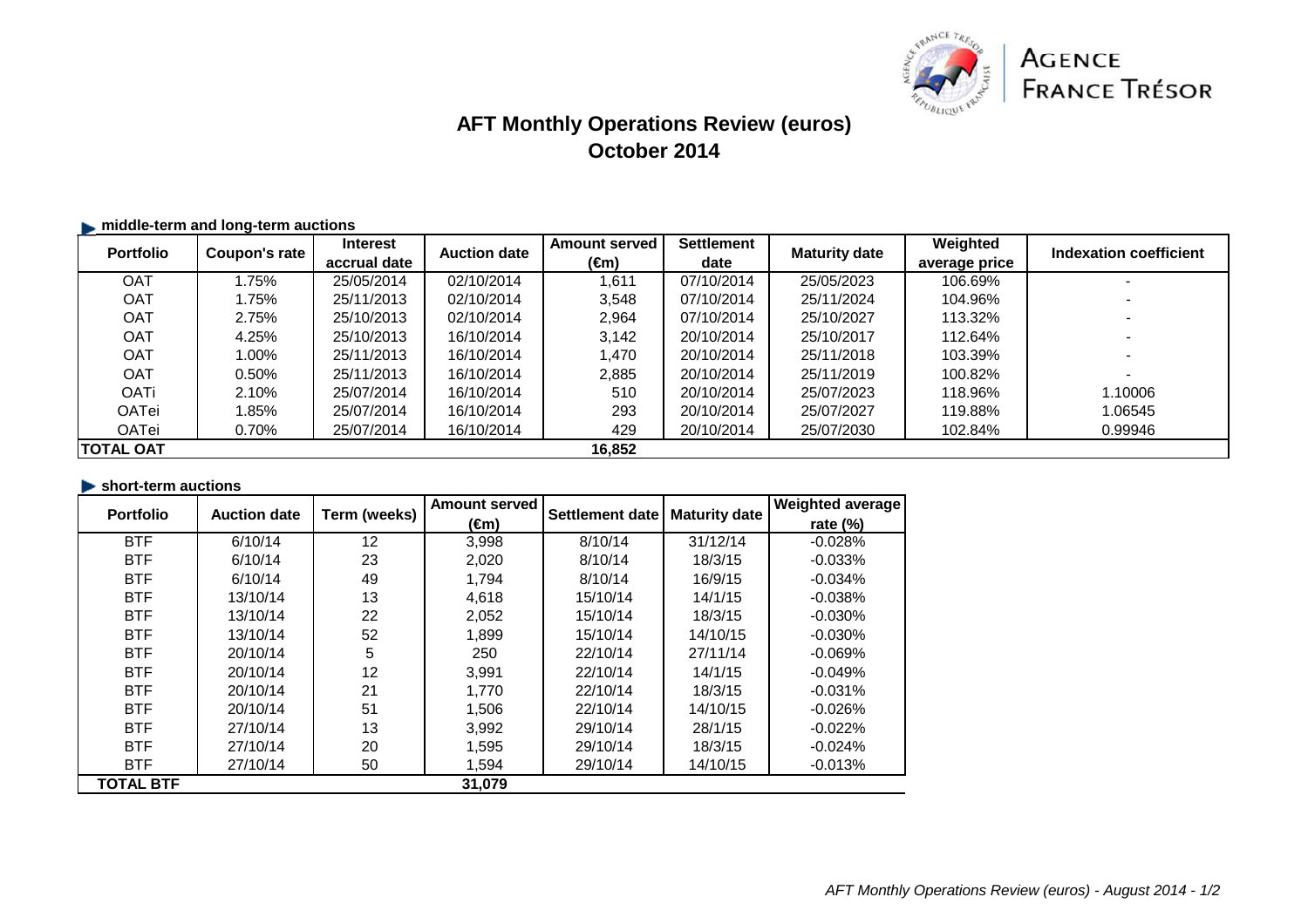

# **AFT Monthly Operations Review (euros)October 2014**

| middle-term and long-term auctions |               |                                 |                     |                              |                           |                      |                           |                        |
|------------------------------------|---------------|---------------------------------|---------------------|------------------------------|---------------------------|----------------------|---------------------------|------------------------|
| <b>Portfolio</b>                   | Coupon's rate | <b>Interest</b><br>accrual date | <b>Auction date</b> | <b>Amount served</b><br>(€m) | <b>Settlement</b><br>date | <b>Maturity date</b> | Weighted<br>average price | Indexation coefficient |
| <b>OAT</b>                         | 1.75%         | 25/05/2014                      | 02/10/2014          | ,611                         | 07/10/2014                | 25/05/2023           | 106.69%                   |                        |
| <b>OAT</b>                         | 1.75%         | 25/11/2013                      | 02/10/2014          | 3,548                        | 07/10/2014                | 25/11/2024           | 104.96%                   |                        |
| <b>OAT</b>                         | 2.75%         | 25/10/2013                      | 02/10/2014          | 2,964                        | 07/10/2014                | 25/10/2027           | 113.32%                   |                        |
| <b>OAT</b>                         | 4.25%         | 25/10/2013                      | 16/10/2014          | 3,142                        | 20/10/2014                | 25/10/2017           | 112.64%                   |                        |
| <b>OAT</b>                         | 1.00%         | 25/11/2013                      | 16/10/2014          | 1.470                        | 20/10/2014                | 25/11/2018           | 103.39%                   |                        |
| <b>OAT</b>                         | 0.50%         | 25/11/2013                      | 16/10/2014          | 2,885                        | 20/10/2014                | 25/11/2019           | 100.82%                   |                        |
| <b>OATi</b>                        | 2.10%         | 25/07/2014                      | 16/10/2014          | 510                          | 20/10/2014                | 25/07/2023           | 118.96%                   | 1.10006                |
| OATei                              | 1.85%         | 25/07/2014                      | 16/10/2014          | 293                          | 20/10/2014                | 25/07/2027           | 119.88%                   | 1.06545                |
| OATei                              | 0.70%         | 25/07/2014                      | 16/10/2014          | 429                          | 20/10/2014                | 25/07/2030           | 102.84%                   | 0.99946                |
| <b>ITOTAL OAT</b>                  |               |                                 |                     | 16,852                       |                           |                      |                           |                        |

## **short-term auctions**

| <b>Portfolio</b> | <b>Auction date</b> | Term (weeks) | <b>Amount served</b> | Settlement date | <b>Maturity date</b> | <b>Weighted average</b> |
|------------------|---------------------|--------------|----------------------|-----------------|----------------------|-------------------------|
|                  |                     |              | (€m)                 |                 |                      | rate $(\%)$             |
| <b>BTF</b>       | 6/10/14             | 12           | 3,998                | 8/10/14         | 31/12/14             | $-0.028%$               |
| <b>BTF</b>       | 6/10/14             | 23           | 2,020                | 8/10/14         | 18/3/15              | $-0.033%$               |
| <b>BTF</b>       | 6/10/14             | 49           | 1,794                | 8/10/14         | 16/9/15              | $-0.034%$               |
| <b>BTF</b>       | 13/10/14            | 13           | 4,618                | 15/10/14        | 14/1/15              | $-0.038%$               |
| <b>BTF</b>       | 13/10/14            | 22           | 2,052                | 15/10/14        | 18/3/15              | $-0.030%$               |
| <b>BTF</b>       | 13/10/14            | 52           | 1,899                | 15/10/14        | 14/10/15             | $-0.030%$               |
| <b>BTF</b>       | 20/10/14            | 5            | 250                  | 22/10/14        | 27/11/14             | $-0.069%$               |
| <b>BTF</b>       | 20/10/14            | 12           | 3,991                | 22/10/14        | 14/1/15              | $-0.049%$               |
| <b>BTF</b>       | 20/10/14            | 21           | 1.770                | 22/10/14        | 18/3/15              | $-0.031%$               |
| <b>BTF</b>       | 20/10/14            | 51           | 1,506                | 22/10/14        | 14/10/15             | $-0.026%$               |
| <b>BTF</b>       | 27/10/14            | 13           | 3,992                | 29/10/14        | 28/1/15              | $-0.022%$               |
| <b>BTF</b>       | 27/10/14            | 20           | 1,595                | 29/10/14        | 18/3/15              | $-0.024%$               |
| <b>BTF</b>       | 27/10/14            | 50           | 1,594                | 29/10/14        | 14/10/15             | $-0.013%$               |
| <b>TOTAL BTF</b> |                     |              | 31,079               |                 |                      |                         |